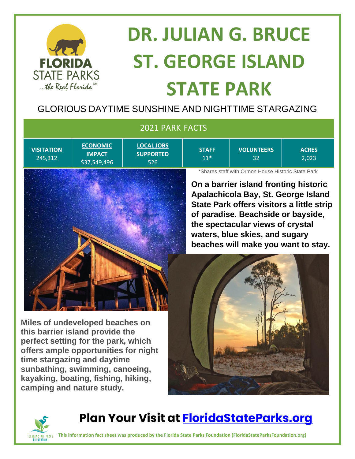

# **DR. JULIAN G. BRUCE ST. GEORGE ISLAND STATE PARK**

#### GLORIOUS DAYTIME SUNSHINE AND NIGHTTIME STARGAZING

| 2021 PARK FACTS              |                                                  |                                              |                                                                                                                                                                                                                                                                                                                                    |                         |                       |
|------------------------------|--------------------------------------------------|----------------------------------------------|------------------------------------------------------------------------------------------------------------------------------------------------------------------------------------------------------------------------------------------------------------------------------------------------------------------------------------|-------------------------|-----------------------|
| <b>VISITATION</b><br>245,312 | <b>ECONOMIC</b><br><b>IMPACT</b><br>\$37,549,496 | <b>LOCAL JOBS</b><br><b>SUPPORTED</b><br>526 | <b>STAFF</b><br>$11*$                                                                                                                                                                                                                                                                                                              | <b>VOLUNTEERS</b><br>32 | <b>ACRES</b><br>2,023 |
|                              |                                                  |                                              | *Shares staff with Ormon House Historic State Park<br>On a barrier island fronting historic<br>Apalachicola Bay, St. George Island<br>State Park offers visitors a little strip<br>of paradise. Beachside or bayside,<br>the spectacular views of crystal<br>waters, blue skies, and sugary<br>beaches will make you want to stay. |                         |                       |
|                              |                                                  |                                              |                                                                                                                                                                                                                                                                                                                                    |                         |                       |

**Miles of undeveloped beaches on this barrier island provide the perfect setting for the park, which offers ample opportunities for night time stargazing and daytime sunbathing, swimming, canoeing, kayaking, boating, fishing, hiking, camping and nature study.**





**Plan Your Visit at<FloridaStateParks.org>**

**This information fact sheet was produced by the Florida State Parks Foundation (FloridaStateParksFoundation.org)**